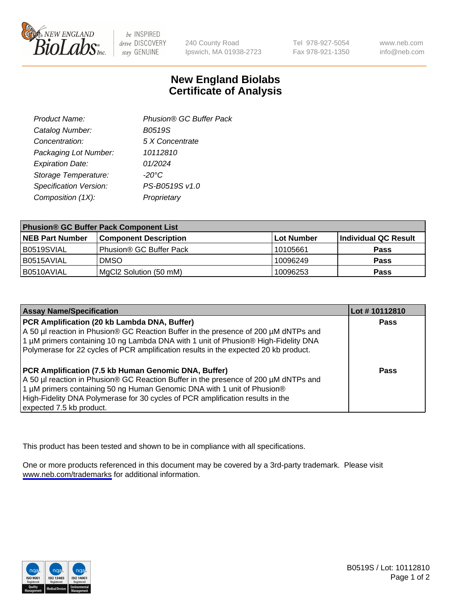

be INSPIRED drive DISCOVERY stay GENUINE

240 County Road Ipswich, MA 01938-2723 Tel 978-927-5054 Fax 978-921-1350

www.neb.com info@neb.com

## **New England Biolabs Certificate of Analysis**

| Product Name:           | Phusion® GC Buffer Pack |
|-------------------------|-------------------------|
| Catalog Number:         | B0519S                  |
| Concentration:          | 5 X Concentrate         |
| Packaging Lot Number:   | 10112810                |
| <b>Expiration Date:</b> | 01/2024                 |
| Storage Temperature:    | $-20^{\circ}$ C         |
| Specification Version:  | PS-B0519S v1.0          |
| Composition (1X):       | Proprietary             |
|                         |                         |

| <b>Phusion® GC Buffer Pack Component List</b> |                              |                   |                      |  |
|-----------------------------------------------|------------------------------|-------------------|----------------------|--|
| <b>NEB Part Number</b>                        | <b>Component Description</b> | <b>Lot Number</b> | Individual QC Result |  |
| B0519SVIAL                                    | Phusion® GC Buffer Pack      | 10105661          | <b>Pass</b>          |  |
| B0515AVIAL                                    | <b>DMSO</b>                  | 10096249          | <b>Pass</b>          |  |
| B0510AVIAL                                    | MgCl2 Solution (50 mM)       | 10096253          | <b>Pass</b>          |  |

| <b>Assay Name/Specification</b>                                                                                                                                                                                                                                                                                                      | Lot #10112810 |
|--------------------------------------------------------------------------------------------------------------------------------------------------------------------------------------------------------------------------------------------------------------------------------------------------------------------------------------|---------------|
| PCR Amplification (20 kb Lambda DNA, Buffer)<br>A 50 µl reaction in Phusion® GC Reaction Buffer in the presence of 200 µM dNTPs and<br>1 μM primers containing 10 ng Lambda DNA with 1 unit of Phusion® High-Fidelity DNA<br>Polymerase for 22 cycles of PCR amplification results in the expected 20 kb product.                    | <b>Pass</b>   |
| PCR Amplification (7.5 kb Human Genomic DNA, Buffer)<br>A 50 µl reaction in Phusion® GC Reaction Buffer in the presence of 200 µM dNTPs and<br>1 µM primers containing 50 ng Human Genomic DNA with 1 unit of Phusion®<br>High-Fidelity DNA Polymerase for 30 cycles of PCR amplification results in the<br>expected 7.5 kb product. | <b>Pass</b>   |

This product has been tested and shown to be in compliance with all specifications.

One or more products referenced in this document may be covered by a 3rd-party trademark. Please visit <www.neb.com/trademarks>for additional information.